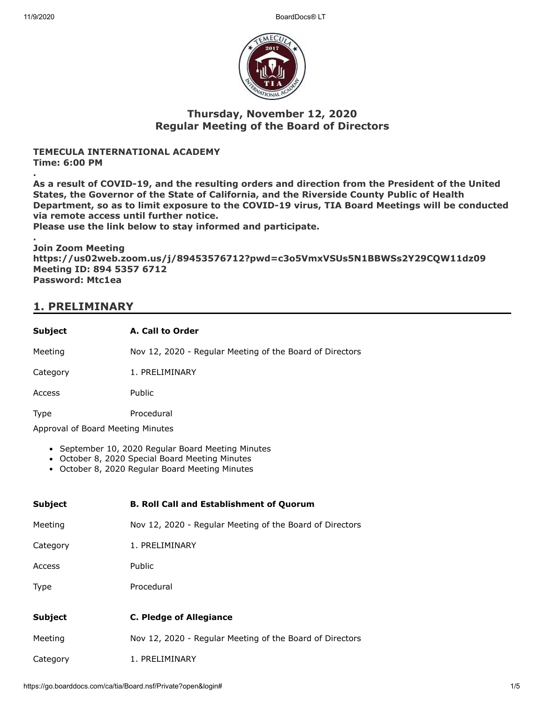11/9/2020 BoardDocs® LT



#### **Thursday, November 12, 2020 Regular Meeting of the Board of Directors**

#### **TEMECULA INTERNATIONAL ACADEMY Time: 6:00 PM**

**.**

**As a result of COVID-19, and the resulting orders and direction from the President of the United States, the Governor of the State of California, and the Riverside County Public of Health Department, so as to limit exposure to the COVID-19 virus, TIA Board Meetings will be conducted via remote access until further notice.**

**Please use the link below to stay informed and participate.**

**. Join Zoom Meeting https://us02web.zoom.us/j/89453576712?pwd=c3o5VmxVSUs5N1BBWSs2Y29CQW11dz09 Meeting ID: 894 5357 6712 Password: Mtc1ea**

## **1. PRELIMINARY**

| <b>Subject</b> | A. Call to Order                                         |
|----------------|----------------------------------------------------------|
| Meeting        | Nov 12, 2020 - Regular Meeting of the Board of Directors |
| Category       | 1. PRELIMINARY                                           |
| Access         | Public                                                   |
| Type           | Procedural                                               |

Approval of Board Meeting Minutes

- September 10, 2020 Regular Board Meeting Minutes
- October 8, 2020 Special Board Meeting Minutes
- October 8, 2020 Regular Board Meeting Minutes

| <b>Subject</b> | <b>B. Roll Call and Establishment of Quorum</b>          |
|----------------|----------------------------------------------------------|
| Meeting        | Nov 12, 2020 - Regular Meeting of the Board of Directors |
| Category       | 1. PRELIMINARY                                           |
| Access         | <b>Public</b>                                            |
| <b>Type</b>    | Procedural                                               |
|                |                                                          |
| <b>Subject</b> | <b>C. Pledge of Allegiance</b>                           |
| Meeting        | Nov 12, 2020 - Regular Meeting of the Board of Directors |
| Category       | 1. PRELIMINARY                                           |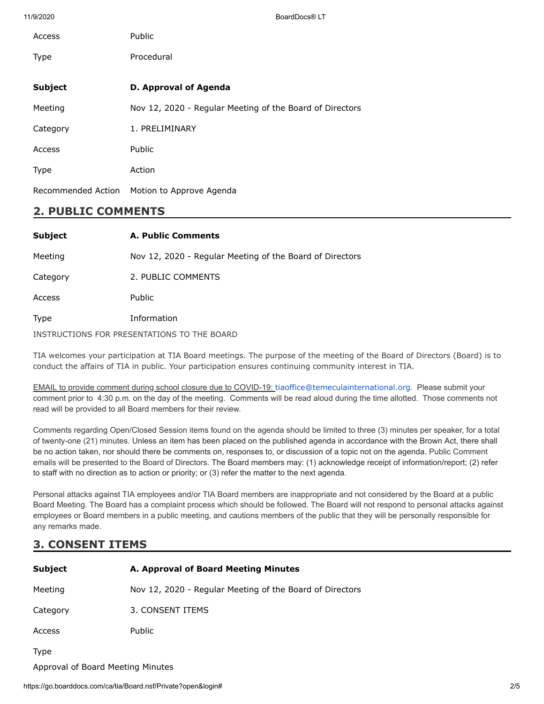11/9/2020 BoardDocs® LT

| Access             | Public                                                   |
|--------------------|----------------------------------------------------------|
| <b>Type</b>        | Procedural                                               |
| <b>Subject</b>     | D. Approval of Agenda                                    |
| Meeting            | Nov 12, 2020 - Regular Meeting of the Board of Directors |
| Category           | 1. PRELIMINARY                                           |
| Access             | Public                                                   |
| <b>Type</b>        | Action                                                   |
| Recommended Action | Motion to Approve Agenda                                 |

#### **2. PUBLIC COMMENTS**

| <b>Subject</b>                              | <b>A. Public Comments</b>                                |
|---------------------------------------------|----------------------------------------------------------|
| Meeting                                     | Nov 12, 2020 - Regular Meeting of the Board of Directors |
| Category                                    | 2. PUBLIC COMMENTS                                       |
| Access                                      | <b>Public</b>                                            |
| <b>Type</b>                                 | Information                                              |
| INSTRUCTIONS FOR PRESENTATIONS TO THE BOARD |                                                          |

TIA welcomes your participation at TIA Board meetings. The purpose of the meeting of the Board of Directors (Board) is to conduct the affairs of TIA in public. Your participation ensures continuing community interest in TIA.

EMAIL to provide comment during school closure due to COVID-19: [tiaoffice@temeculainternational.org](mailto:tiaoffice@temeculainternational.org). Please submit your comment prior to 4:30 p.m. on the day of the meeting. Comments will be read aloud during the time allotted. Those comments not read will be provided to all Board members for their review.

Comments regarding Open/Closed Session items found on the agenda should be limited to three (3) minutes per speaker, for a total of twenty-one (21) minutes. Unless an item has been placed on the published agenda in accordance with the Brown Act, there shall be no action taken, nor should there be comments on, responses to, or discussion of a topic not on the agenda. Public Comment emails will be presented to the Board of Directors. The Board members may: (1) acknowledge receipt of information/report; (2) refer to staff with no direction as to action or priority; or (3) refer the matter to the next agenda.

Personal attacks against TIA employees and/or TIA Board members are inappropriate and not considered by the Board at a public Board Meeting. The Board has a complaint process which should be followed. The Board will not respond to personal attacks against employees or Board members in a public meeting, and cautions members of the public that they will be personally responsible for any remarks made.

### **3. CONSENT ITEMS**

| <b>Subject</b>                    | A. Approval of Board Meeting Minutes                     |
|-----------------------------------|----------------------------------------------------------|
| Meeting                           | Nov 12, 2020 - Regular Meeting of the Board of Directors |
| Category                          | 3. CONSENT ITEMS                                         |
| Access                            | <b>Public</b>                                            |
| <b>Type</b>                       |                                                          |
| Approval of Board Meeting Minutes |                                                          |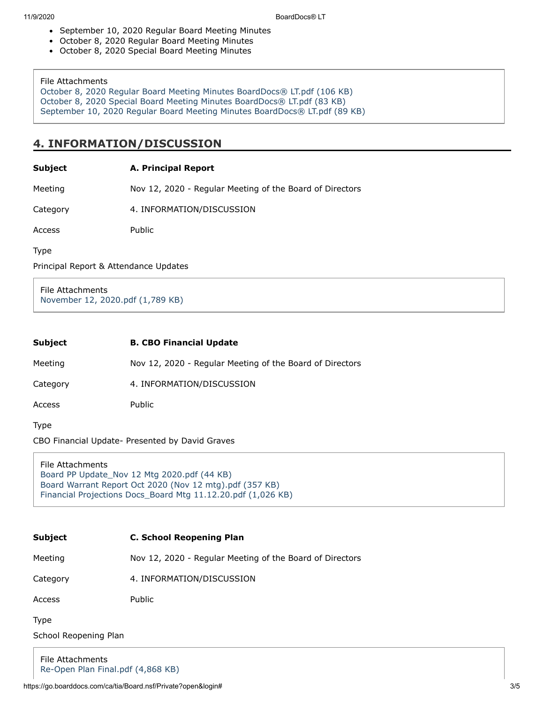- September 10, 2020 Regular Board Meeting Minutes
- October 8, 2020 Regular Board Meeting Minutes
- October 8, 2020 Special Board Meeting Minutes

#### File Attachments

[October 8, 2020 Regular Board Meeting Minutes BoardDocs® LT.pdf \(106 KB\)](https://go.boarddocs.com/ca/tia/Board.nsf/files/BV7NTC615A8F/$file/October%208%2C%202020%20Regular%20Board%20Meeting%20Minutes%20BoardDocs%C2%AE%20LT.pdf) [October 8, 2020 Special Board Meeting Minutes BoardDocs® LT.pdf \(83 KB\)](https://go.boarddocs.com/ca/tia/Board.nsf/files/BV7NTE615A9B/$file/October%208%2C%202020%20Special%20Board%20Meeting%20Minutes%20BoardDocs%C2%AE%20LT.pdf) [September 10, 2020 Regular Board Meeting Minutes BoardDocs® LT.pdf \(89 KB\)](https://go.boarddocs.com/ca/tia/Board.nsf/files/BV7NTG615AAA/$file/September%2010%2C%202020%20Regular%20Board%20Meeting%20Minutes%20BoardDocs%C2%AE%20LT.pdf)

### **4. INFORMATION/DISCUSSION**

#### **Subject A. Principal Report**

Meeting Nov 12, 2020 - Regular Meeting of the Board of Directors

Category 4. INFORMATION/DISCUSSION

Access Public

Type

Principal Report & Attendance Updates

File Attachments [November 12, 2020.pdf \(1,789 KB\)](https://go.boarddocs.com/ca/tia/Board.nsf/files/BV7U5F7A5B78/$file/November%2012%2C%202020.pdf)

| <b>Subject</b> | <b>B. CBO Financial Update</b>                           |
|----------------|----------------------------------------------------------|
| Meeting        | Nov 12, 2020 - Regular Meeting of the Board of Directors |
| Category       | 4. INFORMATION/DISCUSSION                                |

Access Public

Type

CBO Financial Update- Presented by David Graves

File Attachments [Board PP Update\\_Nov 12 Mtg 2020.pdf \(44 KB\)](https://go.boarddocs.com/ca/tia/Board.nsf/files/BV4SMC7185F7/$file/Board%20PP%20Update_Nov%2012%20Mtg%202020.pdf) [Board Warrant Report Oct 2020 \(Nov 12 mtg\).pdf \(357 KB\)](https://go.boarddocs.com/ca/tia/Board.nsf/files/BV4SME718614/$file/Board%20Warrant%20Report%20Oct%202020%20(Nov%2012%20mtg).pdf) [Financial Projections Docs\\_Board Mtg 11.12.20.pdf \(1,026 KB\)](https://go.boarddocs.com/ca/tia/Board.nsf/files/BV4SMG718659/$file/Financial%20Projections%20Docs_Board%20Mtg%2011.12.20.pdf)

# **Subject C. School Reopening Plan**

Meeting Nov 12, 2020 - Regular Meeting of the Board of Directors

Category 4. INFORMATION/DISCUSSION

Access Public

Type

School Reopening Plan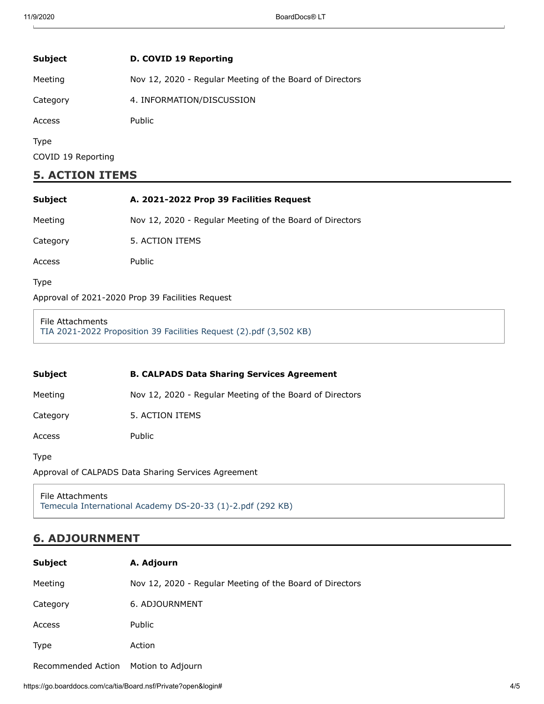| Subject                           | D. COVID 19 Reporting                                    |
|-----------------------------------|----------------------------------------------------------|
| Meeting                           | Nov 12, 2020 - Regular Meeting of the Board of Directors |
| Category                          | 4. INFORMATION/DISCUSSION                                |
| Access                            | <b>Public</b>                                            |
| <b>Type</b><br>COVID 19 Reporting |                                                          |

### **5. ACTION ITEMS**

| <b>Subject</b>                                   | A. 2021-2022 Prop 39 Facilities Request                  |
|--------------------------------------------------|----------------------------------------------------------|
| Meeting                                          | Nov 12, 2020 - Regular Meeting of the Board of Directors |
| Category                                         | 5. ACTION ITEMS                                          |
| Access                                           | Public                                                   |
| <b>Type</b>                                      |                                                          |
| Approval of 2021-2020 Prop 39 Facilities Request |                                                          |

#### File Attachments [TIA 2021-2022 Proposition 39 Facilities Request \(2\).pdf \(3,502 KB\)](https://go.boarddocs.com/ca/tia/Board.nsf/files/BV4SEF710767/$file/TIA%202021-2022%20Proposition%2039%20Facilities%20Request%20(2).pdf)

| Subject  | <b>B. CALPADS Data Sharing Services Agreement</b>        |
|----------|----------------------------------------------------------|
| Meeting  | Nov 12, 2020 - Regular Meeting of the Board of Directors |
| Category | 5. ACTION ITEMS                                          |
| Access   | Public                                                   |
| Type     |                                                          |

Approval of CALPADS Data Sharing Services Agreement

File Attachments [Temecula International Academy DS-20-33 \(1\)-2.pdf \(292 KB\)](https://go.boarddocs.com/ca/tia/Board.nsf/files/BV4SFA71371F/$file/Temecula%20International%20Academy%20DS-20-33%20(1)-2.pdf)

## **6. ADJOURNMENT**

| <b>Subject</b>     | A. Adjourn                                               |
|--------------------|----------------------------------------------------------|
| Meeting            | Nov 12, 2020 - Regular Meeting of the Board of Directors |
| Category           | 6. ADJOURNMENT                                           |
| Access             | Public                                                   |
| <b>Type</b>        | Action                                                   |
| Recommended Action | Motion to Adjourn                                        |

https://go.boarddocs.com/ca/tia/Board.nsf/Private?open&login# 4/5